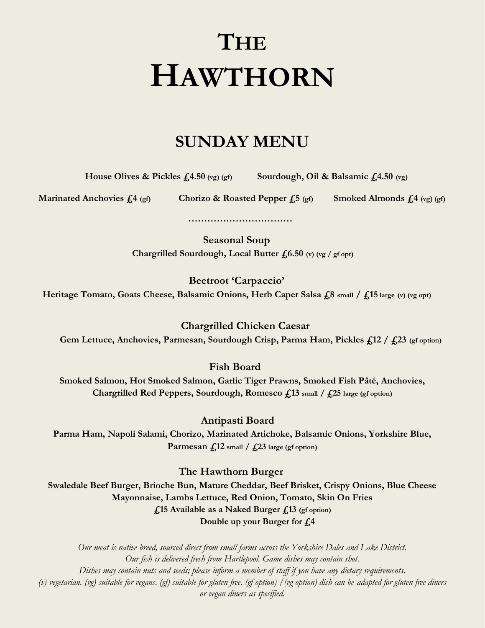## **THE HAWTHORN**

## **SUNDAY MENU**

 **House Olives & Pickles**  $f_1(4.50 \text{ (yg)} \text{ (gf)}$  **Sourdough, Oil & Balsamic**  $f_1(4.50 \text{ (yg)})$ 

 **Marinated Anchovies £4 (gf) Chorizo & Roasted Pepper £5 (gf) Smoked Almonds £4 (vg) (gf)** 

**Seasonal Soup Chargrilled Sourdough, Local Butter £6.50 (v) (vg / gf opt)**

 **……………………………**

**Beetroot 'Carpaccio' Heritage Tomato, Goats Cheese, Balsamic Onions, Herb Caper Salsa £8 small / £15 large (v) (vg opt)**

 **Chargrilled Chicken Caesar Gem Lettuce, Anchovies, Parmesan, Sourdough Crisp, Parma Ham, Pickles £12 / £23 (gf option)**

 **Fish Board**

**Smoked Salmon, Hot Smoked Salmon, Garlic Tiger Prawns, Smoked Fish Pâté, Anchovies, Chargrilled Red Peppers, Sourdough, Romesco £13 small / £25 large (gf option)**

 **Antipasti Board**

**Parma Ham, Napoli Salami, Chorizo, Marinated Artichoke, Balsamic Onions, Yorkshire Blue, Parmesan**  $\widehat{f}$ , 12 small  $/$   $\widehat{f}$ , 23 large (gf option)

**The Hawthorn Burger**

**Swaledale Beef Burger, Brioche Bun, Mature Cheddar, Beef Brisket, Crispy Onions, Blue Cheese Mayonnaise, Lambs Lettuce, Red Onion, Tomato, Skin On Fries £15 Available as a Naked Burger £13 (gf option) Double up your Burger for £4**

*Our meat is native breed, sourced direct from small farms across the Yorkshire Dales and Lake District. Our fish is delivered fresh from Hartlepool. Game dishes may contain shot. Dishes may contain nuts and seeds; please inform a member of staff if you have any dietary requirements. (v) vegetarian. (vg) suitable for vegans. (gf) suitable for gluten free. (gf option) /(vg option) dish can be adapted for gluten free diners or vegan diners as specified.*